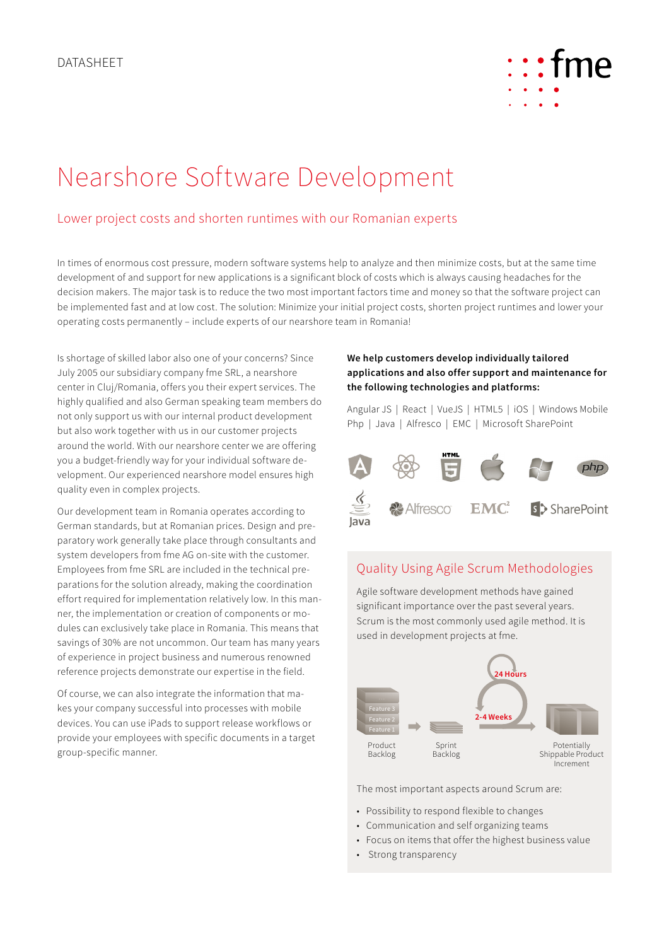

# Nearshore Software Development

## Lower project costs and shorten runtimes with our Romanian experts

In times of enormous cost pressure, modern software systems help to analyze and then minimize costs, but at the same time development of and support for new applications is a significant block of costs which is always causing headaches for the decision makers. The major task is to reduce the two most important factors time and money so that the software project can be implemented fast and at low cost. The solution: Minimize your initial project costs, shorten project runtimes and lower your operating costs permanently – include experts of our nearshore team in Romania!

Is shortage of skilled labor also one of your concerns? Since July 2005 our subsidiary company fme SRL, a nearshore center in Cluj/Romania, offers you their expert services. The highly qualified and also German speaking team members do not only support us with our internal product development but also work together with us in our customer projects around the world. With our nearshore center we are offering you a budget-friendly way for your individual software development. Our experienced nearshore model ensures high quality even in complex projects.

Our development team in Romania operates according to German standards, but at Romanian prices. Design and preparatory work generally take place through consultants and system developers from fme AG on-site with the customer. Employees from fme SRL are included in the technical preparations for the solution already, making the coordination effort required for implementation relatively low. In this manner, the implementation or creation of components or modules can exclusively take place in Romania. This means that savings of 30% are not uncommon. Our team has many years of experience in project business and numerous renowned reference projects demonstrate our expertise in the field.

Of course, we can also integrate the information that makes your company successful into processes with mobile devices. You can use iPads to support release workflows or provide your employees with specific documents in a target group-specific manner.

#### **We help customers develop individually tailored applications and also offer support and maintenance for the following technologies and platforms:**

Angular JS | React | VueJS | HTML5 | iOS | Windows Mobile Php | Java | Alfresco | EMC | Microsoft SharePoint



# Quality Using Agile Scrum Methodologies

Agile software development methods have gained significant importance over the past several years. Scrum is the most commonly used agile method. It is used in development projects at fme.



The most important aspects around Scrum are:

- Possibility to respond flexible to changes
- Communication and self organizing teams
- Focus on items that offer the highest business value
- Strong transparency